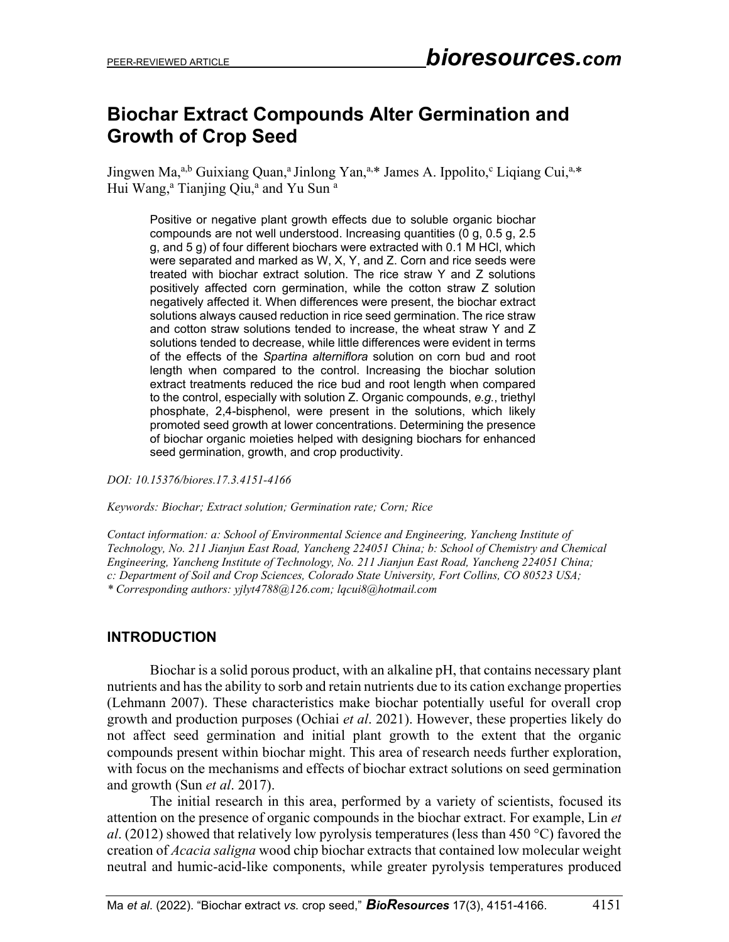# **Biochar Extract Compounds Alter Germination and Growth of Crop Seed**

Jingwen Ma,<sup>a,b</sup> Guixiang Quan,<sup>a</sup> Jinlong Yan,<sup>a,\*</sup> James A. Ippolito,<sup>c</sup> Liqiang Cui,<sup>a,\*</sup> Hui Wang,<sup>a</sup> Tianjing Qiu,<sup>a</sup> and Yu Sun<sup>a</sup>

Positive or negative plant growth effects due to soluble organic biochar compounds are not well understood. Increasing quantities (0 g, 0.5 g, 2.5 g, and 5 g) of four different biochars were extracted with 0.1 M HCl, which were separated and marked as W, X, Y, and Z. Corn and rice seeds were treated with biochar extract solution. The rice straw Y and Z solutions positively affected corn germination, while the cotton straw Z solution negatively affected it. When differences were present, the biochar extract solutions always caused reduction in rice seed germination. The rice straw and cotton straw solutions tended to increase, the wheat straw Y and Z solutions tended to decrease, while little differences were evident in terms of the effects of the *Spartina alterniflora* solution on corn bud and root length when compared to the control. Increasing the biochar solution extract treatments reduced the rice bud and root length when compared to the control, especially with solution Z. Organic compounds, *e.g.*, triethyl phosphate, 2,4-bisphenol, were present in the solutions, which likely promoted seed growth at lower concentrations. Determining the presence of biochar organic moieties helped with designing biochars for enhanced seed germination, growth, and crop productivity.

*DOI: 10.15376/biores.17.3.4151-4166*

*Keywords: Biochar; Extract solution; Germination rate; Corn; Rice*

*Contact information: a: School of Environmental Science and Engineering, Yancheng Institute of Technology, No. 211 Jianjun East Road, Yancheng 224051 China; b: School of Chemistry and Chemical Engineering, Yancheng Institute of Technology, No. 211 Jianjun East Road, Yancheng 224051 China; c: Department of Soil and Crop Sciences, Colorado State University, Fort Collins, CO 80523 USA; \* Corresponding authors: yjlyt4788@126.com; lqcui8@hotmail.com*

## **INTRODUCTION**

Biochar is a solid porous product, with an alkaline pH, that contains necessary plant nutrients and has the ability to sorb and retain nutrients due to its cation exchange properties (Lehmann 2007). These characteristics make biochar potentially useful for overall crop growth and production purposes (Ochiai *et al*. 2021). However, these properties likely do not affect seed germination and initial plant growth to the extent that the organic compounds present within biochar might. This area of research needs further exploration, with focus on the mechanisms and effects of biochar extract solutions on seed germination and growth (Sun *et al*. 2017).

The initial research in this area, performed by a variety of scientists, focused its attention on the presence of organic compounds in the biochar extract. For example, Lin *et al*. (2012) showed that relatively low pyrolysis temperatures (less than 450 °C) favored the creation of *Acacia saligna* wood chip biochar extracts that contained low molecular weight neutral and humic-acid-like components, while greater pyrolysis temperatures produced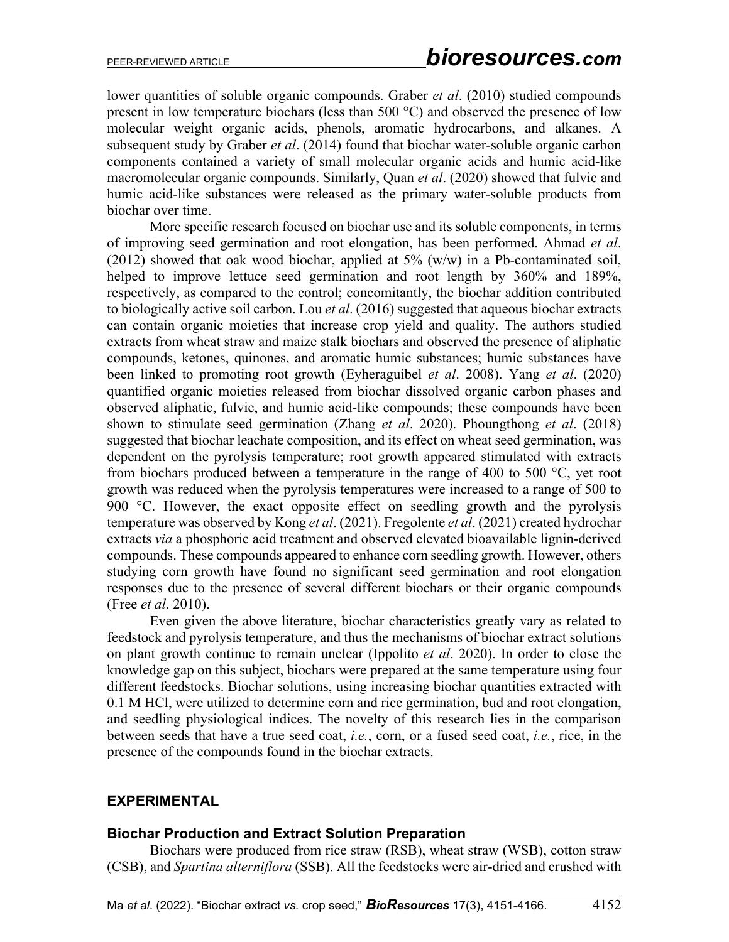lower quantities of soluble organic compounds. Graber *et al*. (2010) studied compounds present in low temperature biochars (less than 500 °C) and observed the presence of low molecular weight organic acids, phenols, aromatic hydrocarbons, and alkanes. A subsequent study by Graber *et al*. (2014) found that biochar water-soluble organic carbon components contained a variety of small molecular organic acids and humic acid-like macromolecular organic compounds. Similarly, Quan *et al*. (2020) showed that fulvic and humic acid-like substances were released as the primary water-soluble products from biochar over time.

More specific research focused on biochar use and its soluble components, in terms of improving seed germination and root elongation, has been performed. Ahmad *et al*. (2012) showed that oak wood biochar, applied at  $5\%$  (w/w) in a Pb-contaminated soil, helped to improve lettuce seed germination and root length by 360% and 189%, respectively, as compared to the control; concomitantly, the biochar addition contributed to biologically active soil carbon. Lou *et al*. (2016) suggested that aqueous biochar extracts can contain organic moieties that increase crop yield and quality. The authors studied extracts from wheat straw and maize stalk biochars and observed the presence of aliphatic compounds, ketones, quinones, and aromatic humic substances; humic substances have been linked to promoting root growth (Eyheraguibel *et al*. 2008). Yang *et al*. (2020) quantified organic moieties released from biochar dissolved organic carbon phases and observed aliphatic, fulvic, and humic acid-like compounds; these compounds have been shown to stimulate seed germination (Zhang *et al*. 2020). Phoungthong *et al*. (2018) suggested that biochar leachate composition, and its effect on wheat seed germination, was dependent on the pyrolysis temperature; root growth appeared stimulated with extracts from biochars produced between a temperature in the range of 400 to 500 °C, yet root growth was reduced when the pyrolysis temperatures were increased to a range of 500 to 900 °C. However, the exact opposite effect on seedling growth and the pyrolysis temperature was observed by Kong *et al*. (2021). Fregolente *et al*. (2021) created hydrochar extracts *via* a phosphoric acid treatment and observed elevated bioavailable lignin-derived compounds. These compounds appeared to enhance corn seedling growth. However, others studying corn growth have found no significant seed germination and root elongation responses due to the presence of several different biochars or their organic compounds (Free *et al*. 2010).

Even given the above literature, biochar characteristics greatly vary as related to feedstock and pyrolysis temperature, and thus the mechanisms of biochar extract solutions on plant growth continue to remain unclear (Ippolito *et al*. 2020). In order to close the knowledge gap on this subject, biochars were prepared at the same temperature using four different feedstocks. Biochar solutions, using increasing biochar quantities extracted with 0.1 M HCl, were utilized to determine corn and rice germination, bud and root elongation, and seedling physiological indices. The novelty of this research lies in the comparison between seeds that have a true seed coat, *i.e.*, corn, or a fused seed coat, *i.e.*, rice, in the presence of the compounds found in the biochar extracts.

#### **EXPERIMENTAL**

#### **Biochar Production and Extract Solution Preparation**

Biochars were produced from rice straw (RSB), wheat straw (WSB), cotton straw (CSB), and *Spartina alterniflora* (SSB). All the feedstocks were air-dried and crushed with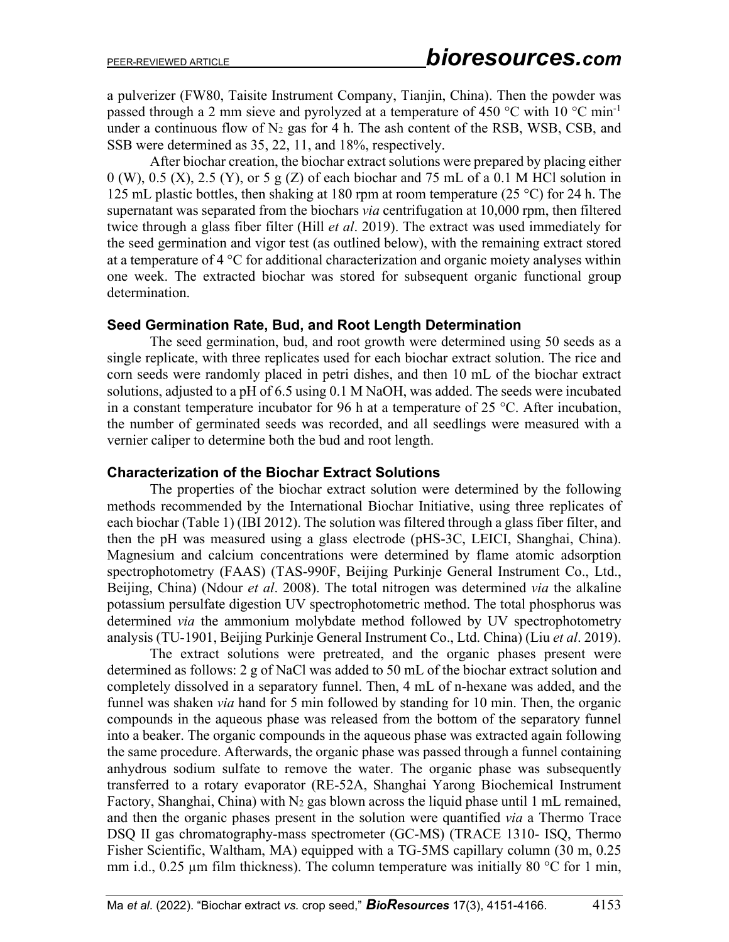a pulverizer (FW80, Taisite Instrument Company, Tianjin, China). Then the powder was passed through a 2 mm sieve and pyrolyzed at a temperature of 450  $^{\circ}$ C with 10  $^{\circ}$ C min<sup>-1</sup> under a continuous flow of  $N_2$  gas for 4 h. The ash content of the RSB, WSB, CSB, and SSB were determined as 35, 22, 11, and 18%, respectively.

After biochar creation, the biochar extract solutions were prepared by placing either  $0$  (W), 0.5 (X), 2.5 (Y), or 5 g (Z) of each biochar and 75 mL of a 0.1 M HCl solution in 125 mL plastic bottles, then shaking at 180 rpm at room temperature (25 °C) for 24 h. The supernatant was separated from the biochars *via* centrifugation at 10,000 rpm, then filtered twice through a glass fiber filter (Hill *et al*. 2019). The extract was used immediately for the seed germination and vigor test (as outlined below), with the remaining extract stored at a temperature of 4 °C for additional characterization and organic moiety analyses within one week. The extracted biochar was stored for subsequent organic functional group determination.

#### **Seed Germination Rate, Bud, and Root Length Determination**

The seed germination, bud, and root growth were determined using 50 seeds as a single replicate, with three replicates used for each biochar extract solution. The rice and corn seeds were randomly placed in petri dishes, and then 10 mL of the biochar extract solutions, adjusted to a pH of 6.5 using 0.1 M NaOH, was added. The seeds were incubated in a constant temperature incubator for 96 h at a temperature of 25 °C. After incubation, the number of germinated seeds was recorded, and all seedlings were measured with a vernier caliper to determine both the bud and root length.

#### **Characterization of the Biochar Extract Solutions**

The properties of the biochar extract solution were determined by the following methods recommended by the International Biochar Initiative, using three replicates of each biochar (Table 1) (IBI 2012). The solution was filtered through a glass fiber filter, and then the pH was measured using a glass electrode (pHS-3C, LEICI, Shanghai, China). Magnesium and calcium concentrations were determined by flame atomic adsorption spectrophotometry (FAAS) (TAS-990F, Beijing Purkinje General Instrument Co., Ltd., Beijing, China) (Ndour *et al*. 2008). The total nitrogen was determined *via* the alkaline potassium persulfate digestion UV spectrophotometric method. The total phosphorus was determined *via* the ammonium molybdate method followed by UV spectrophotometry analysis (TU-1901, Beijing Purkinje General Instrument Co., Ltd. China) (Liu *et al*. 2019).

The extract solutions were pretreated, and the organic phases present were determined as follows: 2 g of NaCl was added to 50 mL of the biochar extract solution and completely dissolved in a separatory funnel. Then, 4 mL of n-hexane was added, and the funnel was shaken *via* hand for 5 min followed by standing for 10 min. Then, the organic compounds in the aqueous phase was released from the bottom of the separatory funnel into a beaker. The organic compounds in the aqueous phase was extracted again following the same procedure. Afterwards, the organic phase was passed through a funnel containing anhydrous sodium sulfate to remove the water. The organic phase was subsequently transferred to a rotary evaporator (RE-52A, Shanghai Yarong Biochemical Instrument Factory, Shanghai, China) with  $N_2$  gas blown across the liquid phase until 1 mL remained, and then the organic phases present in the solution were quantified *via* a Thermo Trace DSQ II gas chromatography-mass spectrometer (GC-MS) (TRACE 1310- ISQ, Thermo Fisher Scientific, Waltham, MA) equipped with a TG-5MS capillary column (30 m, 0.25 mm i.d.,  $0.25 \mu m$  film thickness). The column temperature was initially 80 °C for 1 min,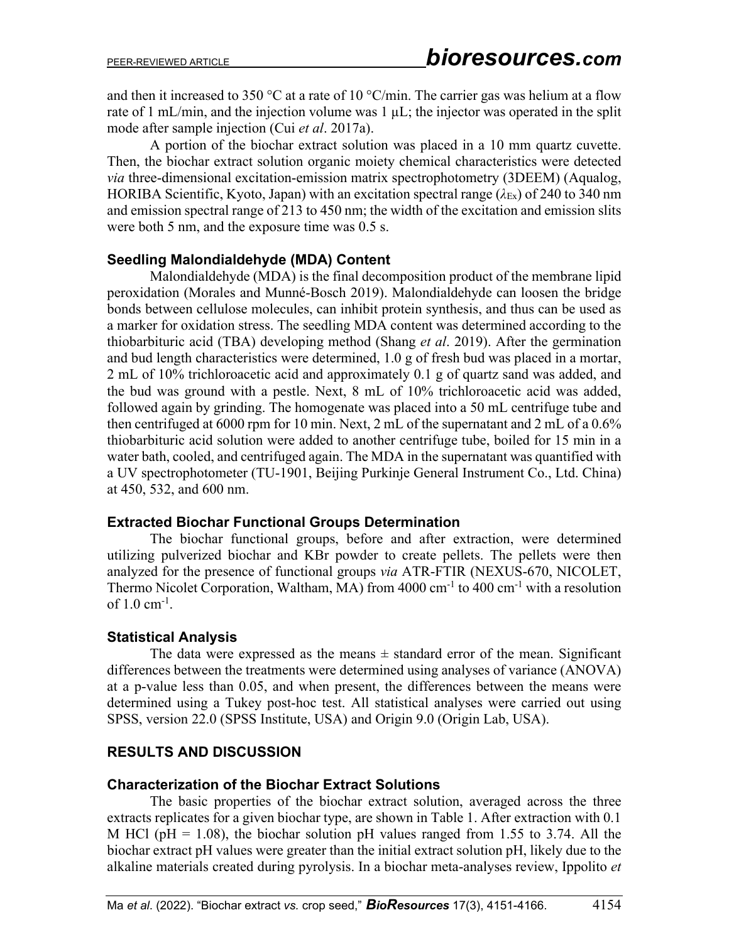and then it increased to 350 °C at a rate of 10 °C/min. The carrier gas was helium at a flow rate of 1 mL/min, and the injection volume was  $1 \mu L$ ; the injector was operated in the split mode after sample injection (Cui *et al*. 2017a).

A portion of the biochar extract solution was placed in a 10 mm quartz cuvette. Then, the biochar extract solution organic moiety chemical characteristics were detected *via* three-dimensional excitation-emission matrix spectrophotometry (3DEEM) (Aqualog, HORIBA Scientific, Kyoto, Japan) with an excitation spectral range (*λ*Ex) of 240 to 340 nm and emission spectral range of 213 to 450 nm; the width of the excitation and emission slits were both 5 nm, and the exposure time was 0.5 s.

#### **Seedling Malondialdehyde (MDA) Content**

Malondialdehyde (MDA) is the final decomposition product of the membrane lipid peroxidation (Morales and Munné-Bosch 2019). Malondialdehyde can loosen the bridge bonds between cellulose molecules, can inhibit protein synthesis, and thus can be used as a marker for oxidation stress. The seedling MDA content was determined according to the thiobarbituric acid (TBA) developing method (Shang *et al*. 2019). After the germination and bud length characteristics were determined, 1.0 g of fresh bud was placed in a mortar, 2 mL of 10% trichloroacetic acid and approximately 0.1 g of quartz sand was added, and the bud was ground with a pestle. Next, 8 mL of 10% trichloroacetic acid was added, followed again by grinding. The homogenate was placed into a 50 mL centrifuge tube and then centrifuged at 6000 rpm for 10 min. Next, 2 mL of the supernatant and 2 mL of a 0.6% thiobarbituric acid solution were added to another centrifuge tube, boiled for 15 min in a water bath, cooled, and centrifuged again. The MDA in the supernatant was quantified with a UV spectrophotometer (TU-1901, Beijing Purkinje General Instrument Co., Ltd. China) at 450, 532, and 600 nm.

#### **Extracted Biochar Functional Groups Determination**

The biochar functional groups, before and after extraction, were determined utilizing pulverized biochar and KBr powder to create pellets. The pellets were then analyzed for the presence of functional groups *via* ATR-FTIR (NEXUS-670, NICOLET, Thermo Nicolet Corporation, Waltham, MA) from  $4000 \text{ cm}^{-1}$  to  $400 \text{ cm}^{-1}$  with a resolution of  $1.0 \text{ cm}^{-1}$ .

## **Statistical Analysis**

The data were expressed as the means  $\pm$  standard error of the mean. Significant differences between the treatments were determined using analyses of variance (ANOVA) at a p-value less than 0.05, and when present, the differences between the means were determined using a Tukey post-hoc test. All statistical analyses were carried out using SPSS, version 22.0 (SPSS Institute, USA) and Origin 9.0 (Origin Lab, USA).

## **RESULTS AND DISCUSSION**

## **Characterization of the Biochar Extract Solutions**

The basic properties of the biochar extract solution, averaged across the three extracts replicates for a given biochar type, are shown in Table 1. After extraction with 0.1 M HCl ( $pH = 1.08$ ), the biochar solution  $pH$  values ranged from 1.55 to 3.74. All the biochar extract pH values were greater than the initial extract solution pH, likely due to the alkaline materials created during pyrolysis. In a biochar meta-analyses review, Ippolito *et*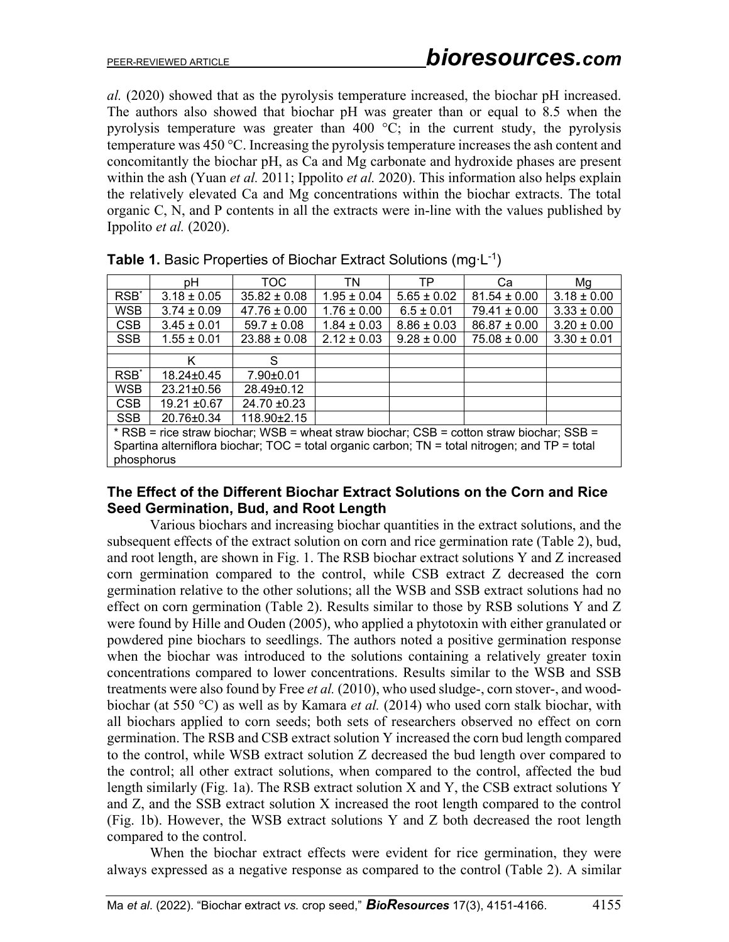*al.* (2020) showed that as the pyrolysis temperature increased, the biochar pH increased. The authors also showed that biochar pH was greater than or equal to 8.5 when the pyrolysis temperature was greater than 400  $\degree$ C; in the current study, the pyrolysis temperature was 450 °C. Increasing the pyrolysis temperature increases the ash content and concomitantly the biochar pH, as Ca and Mg carbonate and hydroxide phases are present within the ash (Yuan *et al.* 2011; Ippolito *et al.* 2020). This information also helps explain the relatively elevated Ca and Mg concentrations within the biochar extracts. The total organic C, N, and P contents in all the extracts were in-line with the values published by Ippolito *et al.* (2020).

|                                                                                                | рH               | TOC.              | TN              | ТP              | Ca               | Mg              |  |
|------------------------------------------------------------------------------------------------|------------------|-------------------|-----------------|-----------------|------------------|-----------------|--|
| RSB <sup>*</sup>                                                                               | $3.18 \pm 0.05$  | $35.82 \pm 0.08$  | $1.95 \pm 0.04$ | $5.65 \pm 0.02$ | $81.54 \pm 0.00$ | $3.18 \pm 0.00$ |  |
| <b>WSB</b>                                                                                     | $3.74 \pm 0.09$  | $47.76 \pm 0.00$  | $1.76 \pm 0.00$ | $6.5 \pm 0.01$  | $79.41 \pm 0.00$ | $3.33 \pm 0.00$ |  |
| CSB                                                                                            | $3.45 \pm 0.01$  | $59.7 \pm 0.08$   | $1.84 \pm 0.03$ | $8.86 \pm 0.03$ | $86.87 \pm 0.00$ | $3.20 \pm 0.00$ |  |
| <b>SSB</b>                                                                                     | $1.55 \pm 0.01$  | $23.88 \pm 0.08$  | $2.12 \pm 0.03$ | $9.28 \pm 0.00$ | $75.08 \pm 0.00$ | $3.30 \pm 0.01$ |  |
|                                                                                                |                  |                   |                 |                 |                  |                 |  |
|                                                                                                | Κ                | S                 |                 |                 |                  |                 |  |
| RSB <sup>*</sup>                                                                               | $18.24 + 0.45$   | $7.90 \pm 0.01$   |                 |                 |                  |                 |  |
| <b>WSB</b>                                                                                     | $23.21 \pm 0.56$ | 28.49±0.12        |                 |                 |                  |                 |  |
| <b>CSB</b>                                                                                     | $19.21 \pm 0.67$ | $24.70 \pm 0.23$  |                 |                 |                  |                 |  |
| <b>SSB</b>                                                                                     | 20.76±0.34       | $118.90 \pm 2.15$ |                 |                 |                  |                 |  |
| * RSB = rice straw biochar; WSB = wheat straw biochar; CSB = cotton straw biochar; SSB =       |                  |                   |                 |                 |                  |                 |  |
| Spartina alterniflora biochar; TOC = total organic carbon; TN = total nitrogen; and TP = total |                  |                   |                 |                 |                  |                 |  |
| phosphorus                                                                                     |                  |                   |                 |                 |                  |                 |  |

**Table 1.** Basic Properties of Biochar Extract Solutions (mg∙L-1)

#### **The Effect of the Different Biochar Extract Solutions on the Corn and Rice Seed Germination, Bud, and Root Length**

Various biochars and increasing biochar quantities in the extract solutions, and the subsequent effects of the extract solution on corn and rice germination rate (Table 2), bud, and root length, are shown in Fig. 1. The RSB biochar extract solutions Y and Z increased corn germination compared to the control, while CSB extract Z decreased the corn germination relative to the other solutions; all the WSB and SSB extract solutions had no effect on corn germination (Table 2). Results similar to those by RSB solutions Y and Z were found by Hille and Ouden (2005), who applied a phytotoxin with either granulated or powdered pine biochars to seedlings. The authors noted a positive germination response when the biochar was introduced to the solutions containing a relatively greater toxin concentrations compared to lower concentrations. Results similar to the WSB and SSB treatments were also found by Free *et al.* (2010), who used sludge-, corn stover-, and woodbiochar (at 550 °C) as well as by Kamara *et al.* (2014) who used corn stalk biochar, with all biochars applied to corn seeds; both sets of researchers observed no effect on corn germination. The RSB and CSB extract solution Y increased the corn bud length compared to the control, while WSB extract solution Z decreased the bud length over compared to the control; all other extract solutions, when compared to the control, affected the bud length similarly (Fig. 1a). The RSB extract solution X and Y, the CSB extract solutions Y and Z, and the SSB extract solution X increased the root length compared to the control (Fig. 1b). However, the WSB extract solutions Y and Z both decreased the root length compared to the control.

When the biochar extract effects were evident for rice germination, they were always expressed as a negative response as compared to the control (Table 2). A similar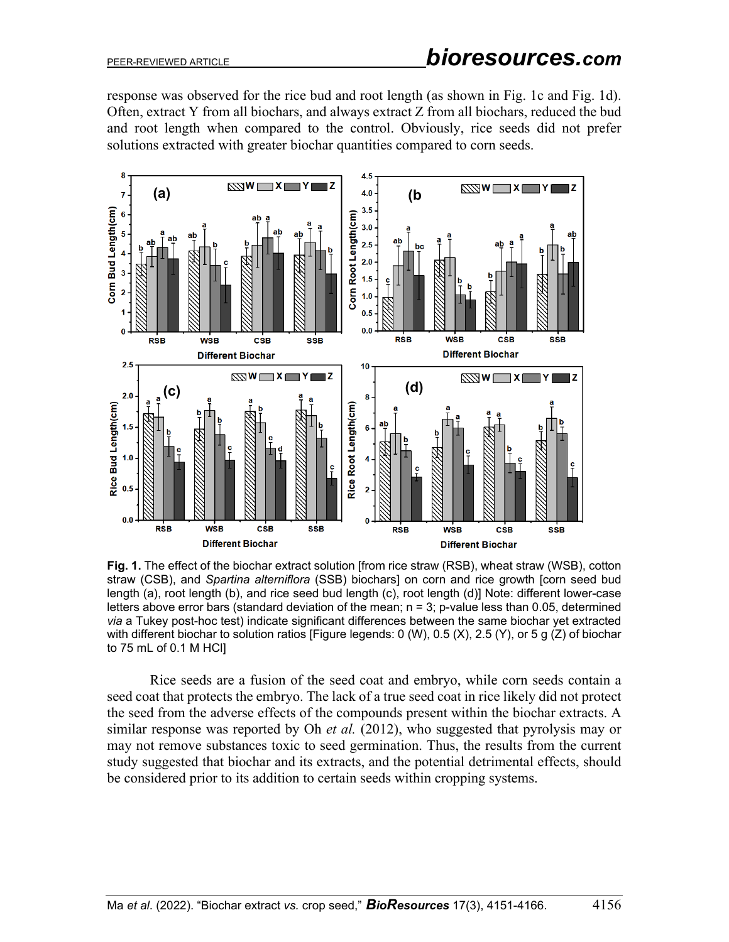response was observed for the rice bud and root length (as shown in Fig. 1c and Fig. 1d). Often, extract Y from all biochars, and always extract Z from all biochars, reduced the bud and root length when compared to the control. Obviously, rice seeds did not prefer solutions extracted with greater biochar quantities compared to corn seeds.



**Fig. 1.** The effect of the biochar extract solution [from rice straw (RSB), wheat straw (WSB), cotton straw (CSB), and *Spartina alterniflora* (SSB) biochars] on corn and rice growth [corn seed bud length (a), root length (b), and rice seed bud length (c), root length (d)] Note: different lower-case letters above error bars (standard deviation of the mean; n = 3; p-value less than 0.05, determined *via* a Tukey post-hoc test) indicate significant differences between the same biochar yet extracted with different biochar to solution ratios [Figure legends: 0 (W), 0.5 (X), 2.5 (Y), or 5 g (Z) of biochar to 75 mL of 0.1 M HCl]

Rice seeds are a fusion of the seed coat and embryo, while corn seeds contain a seed coat that protects the embryo. The lack of a true seed coat in rice likely did not protect the seed from the adverse effects of the compounds present within the biochar extracts. A similar response was reported by Oh *et al.* (2012), who suggested that pyrolysis may or may not remove substances toxic to seed germination. Thus, the results from the current study suggested that biochar and its extracts, and the potential detrimental effects, should be considered prior to its addition to certain seeds within cropping systems.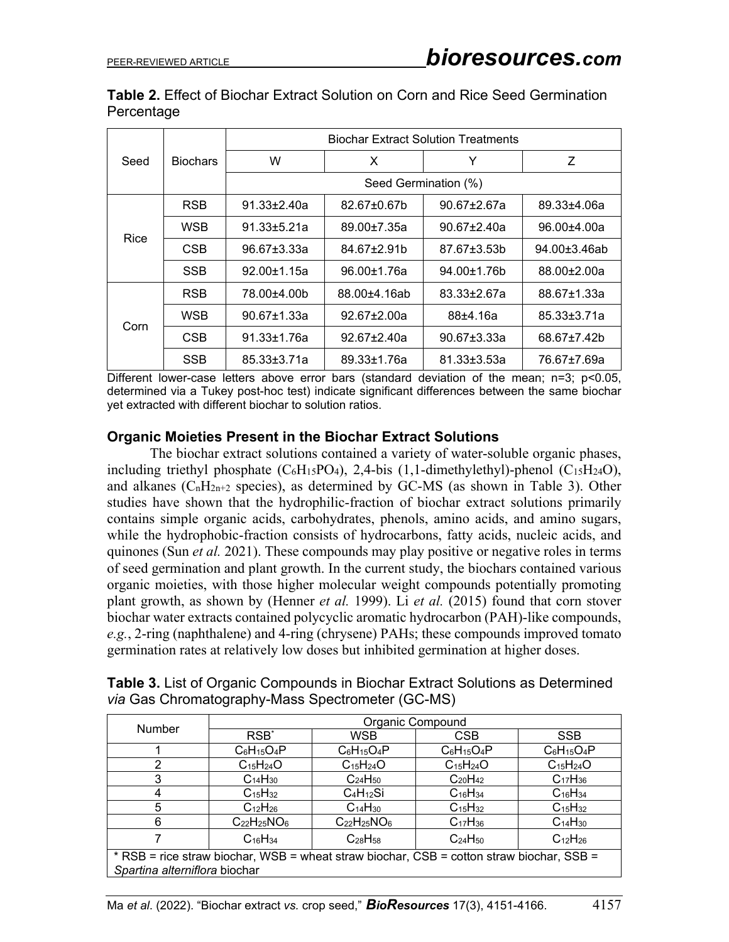|            | <b>Table 2.</b> Effect of Biochar Extract Solution on Corn and Rice Seed Germination |  |  |  |  |  |
|------------|--------------------------------------------------------------------------------------|--|--|--|--|--|
| Percentage |                                                                                      |  |  |  |  |  |

|      |                 | <b>Biochar Extract Solution Treatments</b> |                   |                   |                   |  |  |
|------|-----------------|--------------------------------------------|-------------------|-------------------|-------------------|--|--|
| Seed | <b>Biochars</b> | W                                          | X                 | Y                 | Z                 |  |  |
|      |                 | Seed Germination (%)                       |                   |                   |                   |  |  |
|      | <b>RSB</b>      | $91.33 + 2.40a$                            | $82.67 \pm 0.67$  | $90.67 + 2.67a$   | $89.33 + 4.06a$   |  |  |
| Rice | <b>WSB</b>      | $91.33 \pm 5.21a$                          | 89.00±7.35a       | $90.67 \pm 2.40a$ | 96.00±4.00a       |  |  |
|      | CSB             | $96.67 \pm 3.33a$                          | 84.67+2.91b       | 87.67±3.53b       | 94.00+3.46ab      |  |  |
|      | <b>SSB</b>      | $92.00 \pm 1.15$ a                         | 96.00±1.76a       | 94.00±1.76b       | 88.00±2.00a       |  |  |
| Corn | <b>RSB</b>      | 78.00±4.00b                                | 88.00±4.16ab      | $83.33 \pm 2.67a$ | 88.67±1.33a       |  |  |
|      | WSB             | $90.67 + 1.33a$                            | 92.67±2.00a       | $88+4.16a$        | $85.33 \pm 3.71a$ |  |  |
|      | CSB             | $91.33 \pm 1.76a$                          | 92.67±2.40a       | $90.67 \pm 3.33a$ | 68.67±7.42b       |  |  |
|      | <b>SSB</b>      | 85.33±3.71a                                | $89.33 \pm 1.76a$ | $81.33 \pm 3.53a$ | 76.67±7.69a       |  |  |

Different lower-case letters above error bars (standard deviation of the mean; n=3; p<0.05, determined via a Tukey post-hoc test) indicate significant differences between the same biochar yet extracted with different biochar to solution ratios.

#### **Organic Moieties Present in the Biochar Extract Solutions**

The biochar extract solutions contained a variety of water-soluble organic phases, including triethyl phosphate  $(C_6H_15PO_4)$ , 2,4-bis (1,1-dimethylethyl)-phenol  $(C_{15}H_{24}O)$ , and alkanes ( $C_nH_{2n+2}$  species), as determined by GC-MS (as shown in Table 3). Other studies have shown that the hydrophilic-fraction of biochar extract solutions primarily contains simple organic acids, carbohydrates, phenols, amino acids, and amino sugars, while the hydrophobic-fraction consists of hydrocarbons, fatty acids, nucleic acids, and quinones (Sun *et al.* 2021). These compounds may play positive or negative roles in terms of seed germination and plant growth. In the current study, the biochars contained various organic moieties, with those higher molecular weight compounds potentially promoting plant growth, as shown by (Henner *et al.* 1999). Li *et al.* (2015) found that corn stover biochar water extracts contained polycyclic aromatic hydrocarbon (PAH)-like compounds, *e.g.*, 2-ring (naphthalene) and 4-ring (chrysene) PAHs; these compounds improved tomato germination rates at relatively low doses but inhibited germination at higher doses.

| <b>Number</b>                                                                            | Organic Compound                |                                 |                 |                                 |  |  |
|------------------------------------------------------------------------------------------|---------------------------------|---------------------------------|-----------------|---------------------------------|--|--|
|                                                                                          | RSB <sup>*</sup>                | <b>WSB</b>                      | <b>CSB</b>      | <b>SSB</b>                      |  |  |
|                                                                                          | $C_6H_{15}O_4P$                 | $C_6H_{15}O_4P$                 | $C_6H_{15}O_4P$ | $C_6H_{15}O_4P$                 |  |  |
| $\mathcal{P}$                                                                            | $C_{15}H_{24}O$                 | $C_{15}H_{24}O$                 | $C_{15}H_{24}O$ | $C_{15}H_{24}O$                 |  |  |
| 3                                                                                        | C <sub>14</sub> H <sub>30</sub> | $C_{24}H_{50}$                  | $C_{20}H_{42}$  | $C_{17}H_{36}$                  |  |  |
| 4                                                                                        | $C_{15}H_{32}$                  | $C_4H_{12}Si$                   | $C_{16}H_{34}$  | $C_{16}H_{34}$                  |  |  |
| 5                                                                                        | $C_{12}H_{26}$                  | C <sub>14</sub> H <sub>30</sub> | $C_{15}H_{32}$  | $C_{15}H_{32}$                  |  |  |
| 6                                                                                        | $C_{22}H_{25}NO6$               | $C_{22}H_{25}NO6$               | $C_{17}H_{36}$  | C <sub>14</sub> H <sub>30</sub> |  |  |
|                                                                                          | $C_{16}H_{34}$                  | $C_{28}H_{58}$                  | $C_{24}H_{50}$  | $C_{12}H_{26}$                  |  |  |
| * RSB = rice straw biochar, WSB = wheat straw biochar, CSB = cotton straw biochar, SSB = |                                 |                                 |                 |                                 |  |  |
| Spartina alterniflora biochar                                                            |                                 |                                 |                 |                                 |  |  |

| <b>Table 3.</b> List of Organic Compounds in Biochar Extract Solutions as Determined |  |  |
|--------------------------------------------------------------------------------------|--|--|
| <i>via</i> Gas Chromatography-Mass Spectrometer (GC-MS)                              |  |  |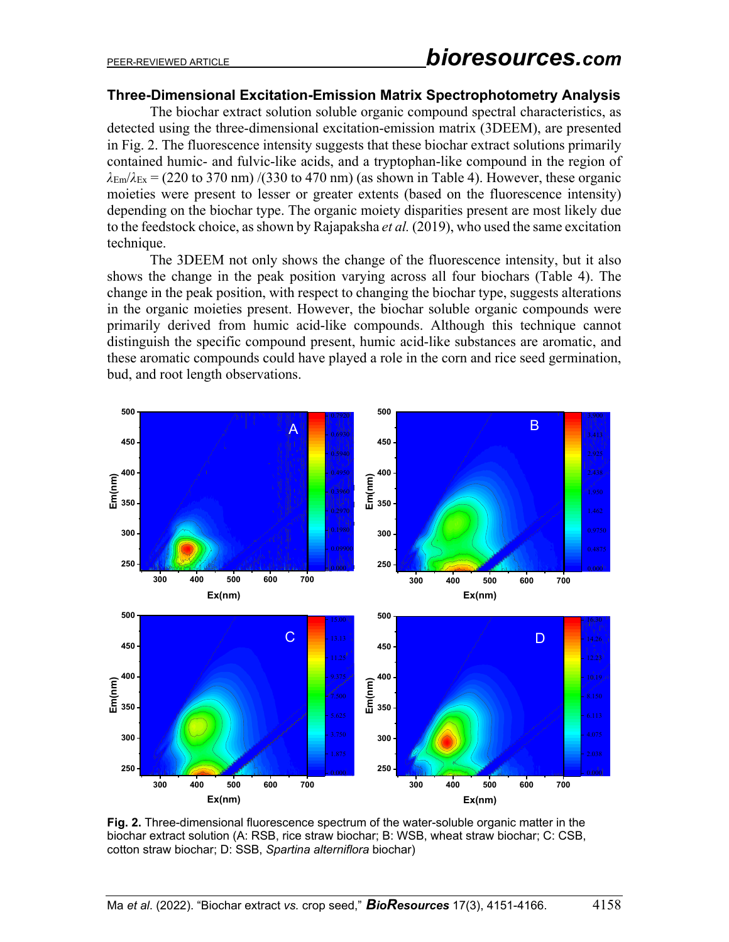#### **Three-Dimensional Excitation-Emission Matrix Spectrophotometry Analysis**

The biochar extract solution soluble organic compound spectral characteristics, as detected using the three-dimensional excitation-emission matrix (3DEEM), are presented in Fig. 2. The fluorescence intensity suggests that these biochar extract solutions primarily contained humic- and fulvic-like acids, and a tryptophan-like compound in the region of  $\lambda_{\text{Em}}/\lambda_{\text{Ex}}$  = (220 to 370 nm) /(330 to 470 nm) (as shown in Table 4). However, these organic moieties were present to lesser or greater extents (based on the fluorescence intensity) depending on the biochar type. The organic moiety disparities present are most likely due to the feedstock choice, as shown by Rajapaksha *et al.* (2019), who used the same excitation technique.

The 3DEEM not only shows the change of the fluorescence intensity, but it also shows the change in the peak position varying across all four biochars (Table 4). The change in the peak position, with respect to changing the biochar type, suggests alterations in the organic moieties present. However, the biochar soluble organic compounds were primarily derived from humic acid-like compounds. Although this technique cannot distinguish the specific compound present, humic acid-like substances are aromatic, and these aromatic compounds could have played a role in the corn and rice seed germination, bud, and root length observations.



**Fig. 2.** Three-dimensional fluorescence spectrum of the water-soluble organic matter in the biochar extract solution (A: RSB, rice straw biochar; B: WSB, wheat straw biochar; C: CSB, cotton straw biochar; D: SSB, *Spartina alterniflora* biochar)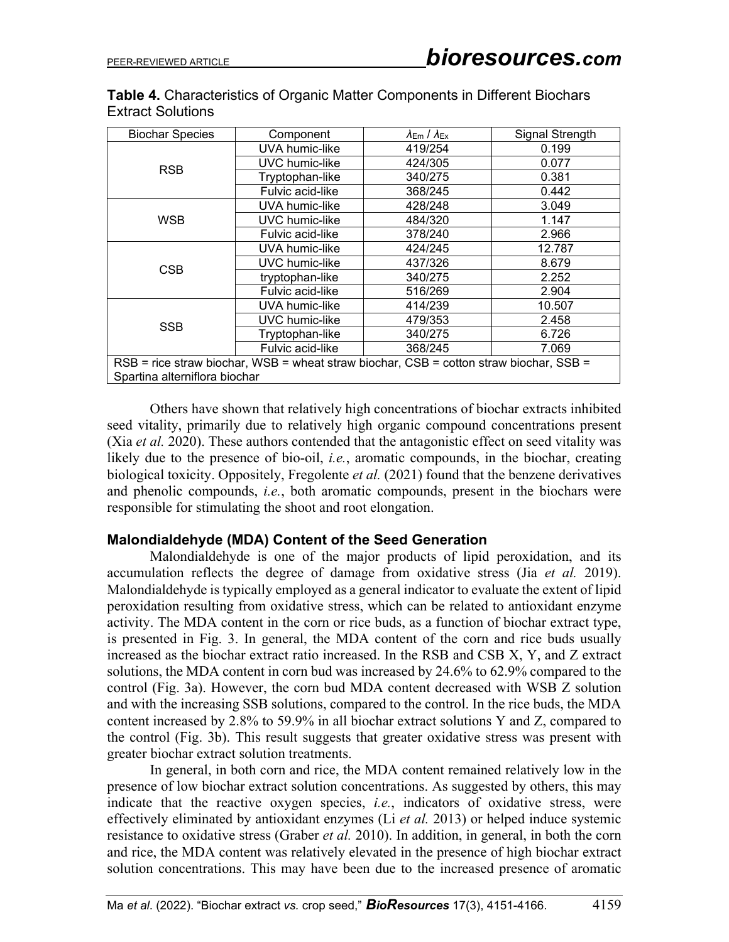| Table 4. Characteristics of Organic Matter Components in Different Biochars |
|-----------------------------------------------------------------------------|
| <b>Extract Solutions</b>                                                    |

| <b>Biochar Species</b>                                                                 | Component        | $\lambda_{\text{Em}}$ / $\lambda_{\text{Ex}}$ | Signal Strength |  |  |  |
|----------------------------------------------------------------------------------------|------------------|-----------------------------------------------|-----------------|--|--|--|
|                                                                                        | UVA humic-like   | 419/254                                       | 0.199           |  |  |  |
| <b>RSB</b>                                                                             | UVC humic-like   | 424/305                                       | 0.077           |  |  |  |
|                                                                                        | Tryptophan-like  | 340/275                                       | 0.381           |  |  |  |
|                                                                                        | Fulvic acid-like | 368/245                                       | 0.442           |  |  |  |
|                                                                                        | UVA humic-like   | 428/248                                       | 3.049           |  |  |  |
| <b>WSB</b>                                                                             | UVC humic-like   | 484/320                                       | 1.147           |  |  |  |
|                                                                                        | Fulvic acid-like | 378/240                                       | 2.966           |  |  |  |
|                                                                                        | UVA humic-like   | 424/245                                       | 12.787          |  |  |  |
| CSB                                                                                    | UVC humic-like   | 437/326                                       | 8.679           |  |  |  |
|                                                                                        | tryptophan-like  | 340/275                                       | 2.252           |  |  |  |
|                                                                                        | Fulvic acid-like | 516/269                                       | 2.904           |  |  |  |
|                                                                                        | UVA humic-like   | 414/239                                       | 10.507          |  |  |  |
| <b>SSB</b>                                                                             | UVC humic-like   | 479/353                                       | 2.458           |  |  |  |
|                                                                                        | Tryptophan-like  | 340/275                                       | 6.726           |  |  |  |
|                                                                                        | Fulvic acid-like | 368/245                                       | 7.069           |  |  |  |
| RSB = rice straw biochar, WSB = wheat straw biochar, CSB = cotton straw biochar, SSB = |                  |                                               |                 |  |  |  |
| Spartina alterniflora biochar                                                          |                  |                                               |                 |  |  |  |

Others have shown that relatively high concentrations of biochar extracts inhibited seed vitality, primarily due to relatively high organic compound concentrations present (Xia *et al.* 2020). These authors contended that the antagonistic effect on seed vitality was likely due to the presence of bio-oil, *i.e.*, aromatic compounds, in the biochar, creating biological toxicity. Oppositely, Fregolente *et al.* (2021) found that the benzene derivatives and phenolic compounds, *i.e.*, both aromatic compounds, present in the biochars were responsible for stimulating the shoot and root elongation.

#### **Malondialdehyde (MDA) Content of the Seed Generation**

Malondialdehyde is one of the major products of lipid peroxidation, and its accumulation reflects the degree of damage from oxidative stress (Jia *et al.* 2019). Malondialdehyde is typically employed as a general indicator to evaluate the extent of lipid peroxidation resulting from oxidative stress, which can be related to antioxidant enzyme activity. The MDA content in the corn or rice buds, as a function of biochar extract type, is presented in Fig. 3. In general, the MDA content of the corn and rice buds usually increased as the biochar extract ratio increased. In the RSB and CSB X, Y, and Z extract solutions, the MDA content in corn bud was increased by 24.6% to 62.9% compared to the control (Fig. 3a). However, the corn bud MDA content decreased with WSB Z solution and with the increasing SSB solutions, compared to the control. In the rice buds, the MDA content increased by 2.8% to 59.9% in all biochar extract solutions Y and Z, compared to the control (Fig. 3b). This result suggests that greater oxidative stress was present with greater biochar extract solution treatments.

In general, in both corn and rice, the MDA content remained relatively low in the presence of low biochar extract solution concentrations. As suggested by others, this may indicate that the reactive oxygen species, *i.e.*, indicators of oxidative stress, were effectively eliminated by antioxidant enzymes (Li *et al.* 2013) or helped induce systemic resistance to oxidative stress (Graber *et al.* 2010). In addition, in general, in both the corn and rice, the MDA content was relatively elevated in the presence of high biochar extract solution concentrations. This may have been due to the increased presence of aromatic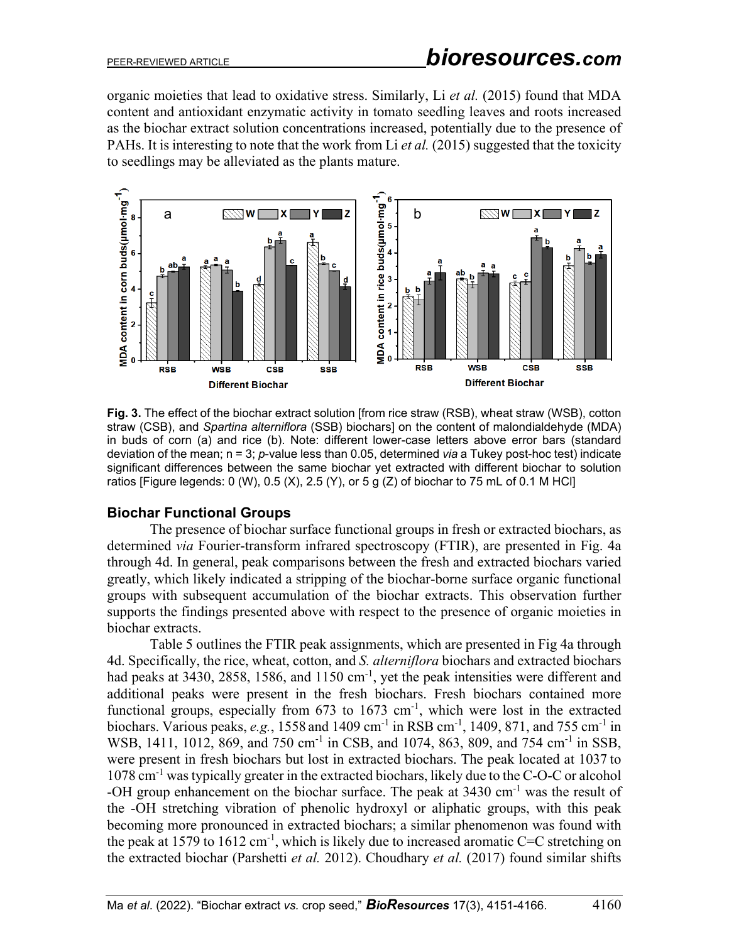organic moieties that lead to oxidative stress. Similarly, Li *et al.* (2015) found that MDA content and antioxidant enzymatic activity in tomato seedling leaves and roots increased as the biochar extract solution concentrations increased, potentially due to the presence of PAHs. It is interesting to note that the work from Li *et al.* (2015) suggested that the toxicity to seedlings may be alleviated as the plants mature.



**Fig. 3.** The effect of the biochar extract solution [from rice straw (RSB), wheat straw (WSB), cotton straw (CSB), and *Spartina alterniflora* (SSB) biochars] on the content of malondialdehyde (MDA) in buds of corn (a) and rice (b). Note: different lower-case letters above error bars (standard deviation of the mean; n = 3; *p*-value less than 0.05, determined *via* a Tukey post-hoc test) indicate significant differences between the same biochar yet extracted with different biochar to solution ratios [Figure legends: 0 (W), 0.5 (X), 2.5 (Y), or 5 g (Z) of biochar to 75 mL of 0.1 M HCl]

## **Biochar Functional Groups**

The presence of biochar surface functional groups in fresh or extracted biochars, as determined *via* Fourier-transform infrared spectroscopy (FTIR), are presented in Fig. 4a through 4d. In general, peak comparisons between the fresh and extracted biochars varied greatly, which likely indicated a stripping of the biochar-borne surface organic functional groups with subsequent accumulation of the biochar extracts. This observation further supports the findings presented above with respect to the presence of organic moieties in biochar extracts.

Table 5 outlines the FTIR peak assignments, which are presented in Fig 4a through 4d. Specifically, the rice, wheat, cotton, and *S. alterniflora* biochars and extracted biochars had peaks at 3430, 2858, 1586, and 1150 cm<sup>-1</sup>, yet the peak intensities were different and additional peaks were present in the fresh biochars. Fresh biochars contained more functional groups, especially from  $673$  to  $1673$  cm<sup>-1</sup>, which were lost in the extracted biochars. Various peaks, *e.g.*, 1558 and 1409 cm<sup>-1</sup> in RSB cm<sup>-1</sup>, 1409, 871, and 755 cm<sup>-1</sup> in WSB, 1411, 1012, 869, and 750 cm<sup>-1</sup> in CSB, and 1074, 863, 809, and 754 cm<sup>-1</sup> in SSB, were present in fresh biochars but lost in extracted biochars. The peak located at 1037 to 1078 cm-1 was typically greater in the extracted biochars, likely due to the C-O-C or alcohol -OH group enhancement on the biochar surface. The peak at 3430 cm<sup>-1</sup> was the result of the -OH stretching vibration of phenolic hydroxyl or aliphatic groups, with this peak becoming more pronounced in extracted biochars; a similar phenomenon was found with the peak at 1579 to 1612 cm<sup>-1</sup>, which is likely due to increased aromatic C=C stretching on the extracted biochar (Parshetti *et al.* 2012). Choudhary *et al.* (2017) found similar shifts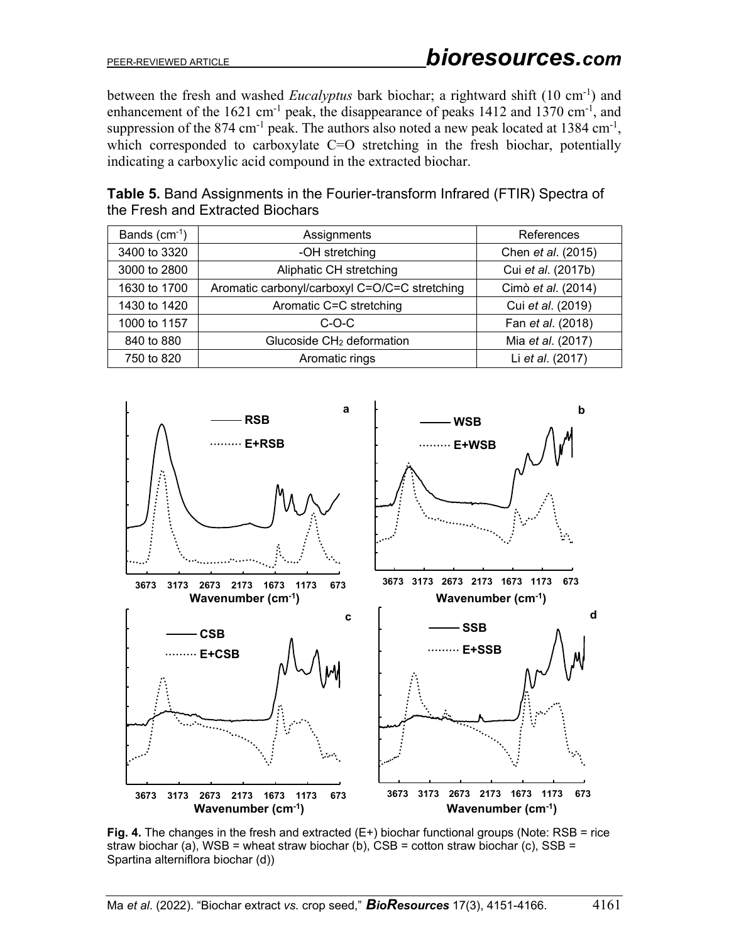between the fresh and washed *Eucalyptus* bark biochar; a rightward shift (10 cm<sup>-1</sup>) and enhancement of the  $1621 \text{ cm}^{-1}$  peak, the disappearance of peaks  $1412$  and  $1370 \text{ cm}^{-1}$ , and suppression of the 874 cm<sup>-1</sup> peak. The authors also noted a new peak located at 1384 cm<sup>-1</sup>, which corresponded to carboxylate C=O stretching in the fresh biochar, potentially indicating a carboxylic acid compound in the extracted biochar.

| Bands $(cm-1)$<br>Assignments           |                                               | References         |
|-----------------------------------------|-----------------------------------------------|--------------------|
| -OH stretching<br>3400 to 3320          |                                               | Chen et al. (2015) |
| Aliphatic CH stretching<br>3000 to 2800 |                                               | Cui et al. (2017b) |
| 1630 to 1700                            | Aromatic carbonyl/carboxyl C=O/C=C stretching | Cimò et al. (2014) |
| 1430 to 1420                            | Aromatic C=C stretching                       | Cui et al. (2019)  |
| 1000 to 1157                            | $C$ -O-C                                      | Fan et al. (2018)  |
| 840 to 880                              | Glucoside CH <sub>2</sub> deformation         | Mia et al. (2017)  |
| 750 to 820                              | Aromatic rings                                | Li et al. (2017)   |

**Table 5.** Band Assignments in the Fourier-transform Infrared (FTIR) Spectra of the Fresh and Extracted Biochars



**Fig. 4.** The changes in the fresh and extracted (E+) biochar functional groups (Note: RSB = rice straw biochar (a), WSB = wheat straw biochar (b),  $CSB =$  cotton straw biochar (c),  $SSB =$ Spartina alterniflora biochar (d))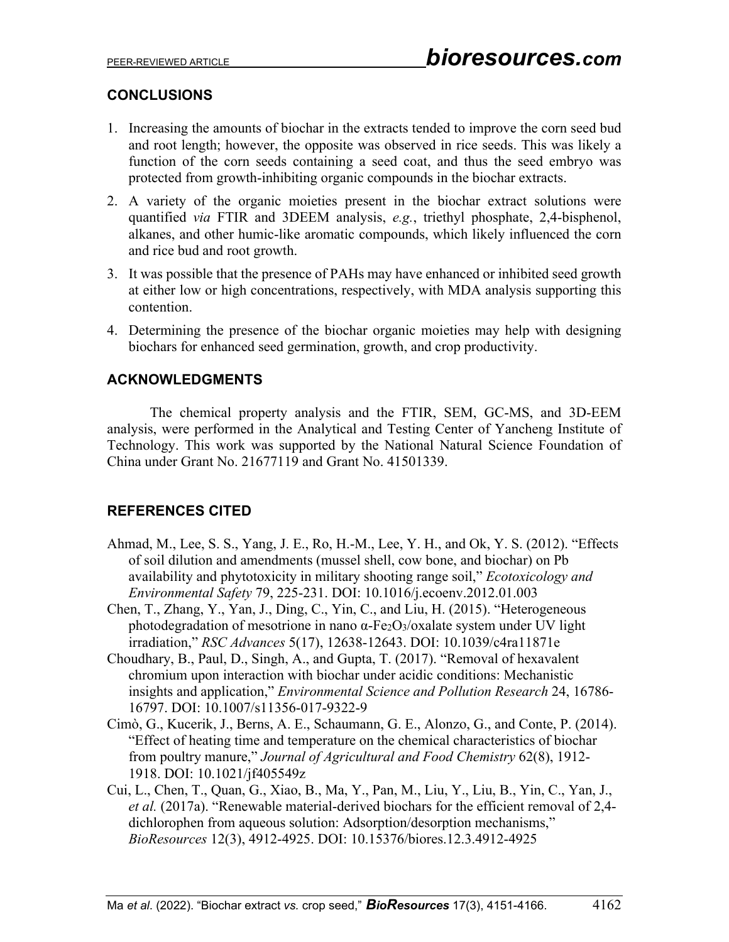## **CONCLUSIONS**

- 1. Increasing the amounts of biochar in the extracts tended to improve the corn seed bud and root length; however, the opposite was observed in rice seeds. This was likely a function of the corn seeds containing a seed coat, and thus the seed embryo was protected from growth-inhibiting organic compounds in the biochar extracts.
- 2. A variety of the organic moieties present in the biochar extract solutions were quantified *via* FTIR and 3DEEM analysis, *e.g.*, triethyl phosphate, 2,4-bisphenol, alkanes, and other humic-like aromatic compounds, which likely influenced the corn and rice bud and root growth.
- 3. It was possible that the presence of PAHs may have enhanced or inhibited seed growth at either low or high concentrations, respectively, with MDA analysis supporting this contention.
- 4. Determining the presence of the biochar organic moieties may help with designing biochars for enhanced seed germination, growth, and crop productivity.

## **ACKNOWLEDGMENTS**

The chemical property analysis and the FTIR, SEM, GC-MS, and 3D-EEM analysis, were performed in the Analytical and Testing Center of Yancheng Institute of Technology. This work was supported by the National Natural Science Foundation of China under Grant No. 21677119 and Grant No. 41501339.

## **REFERENCES CITED**

- Ahmad, M., Lee, S. S., Yang, J. E., Ro, H.-M., Lee, Y. H., and Ok, Y. S. (2012). "Effects of soil dilution and amendments (mussel shell, cow bone, and biochar) on Pb availability and phytotoxicity in military shooting range soil," *Ecotoxicology and Environmental Safety* 79, 225-231. DOI: 10.1016/j.ecoenv.2012.01.003
- Chen, T., Zhang, Y., Yan, J., Ding, C., Yin, C., and Liu, H. (2015). "Heterogeneous photodegradation of mesotrione in nano α-Fe2O3/oxalate system under UV light irradiation," *RSC Advances* 5(17), 12638-12643. DOI: 10.1039/c4ra11871e
- Choudhary, B., Paul, D., Singh, A., and Gupta, T. (2017). "Removal of hexavalent chromium upon interaction with biochar under acidic conditions: Mechanistic insights and application," *Environmental Science and Pollution Research* 24, 16786- 16797. DOI: 10.1007/s11356-017-9322-9
- Cimò, G., Kucerik, J., Berns, A. E., Schaumann, G. E., Alonzo, G., and Conte, P. (2014). "Effect of heating time and temperature on the chemical characteristics of biochar from poultry manure," *Journal of Agricultural and Food Chemistry* 62(8), 1912- 1918. DOI: 10.1021/jf405549z
- Cui, L., Chen, T., Quan, G., Xiao, B., Ma, Y., Pan, M., Liu, Y., Liu, B., Yin, C., Yan, J., *et al.* (2017a). "Renewable material-derived biochars for the efficient removal of 2,4 dichlorophen from aqueous solution: Adsorption/desorption mechanisms," *BioResources* 12(3), 4912-4925. DOI: 10.15376/biores.12.3.4912-4925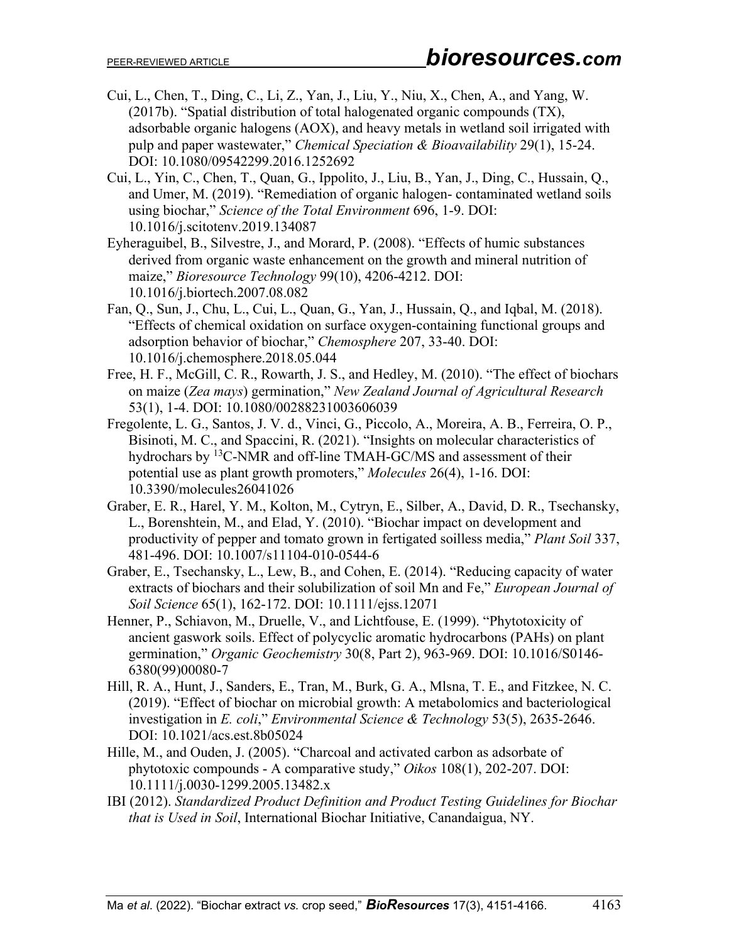- Cui, L., Chen, T., Ding, C., Li, Z., Yan, J., Liu, Y., Niu, X., Chen, A., and Yang, W. (2017b). "Spatial distribution of total halogenated organic compounds (TX), adsorbable organic halogens (AOX), and heavy metals in wetland soil irrigated with pulp and paper wastewater," *Chemical Speciation & Bioavailability* 29(1), 15-24. DOI: 10.1080/09542299.2016.1252692
- Cui, L., Yin, C., Chen, T., Quan, G., Ippolito, J., Liu, B., Yan, J., Ding, C., Hussain, Q., and Umer, M. (2019). "Remediation of organic halogen- contaminated wetland soils using biochar," *Science of the Total Environment* 696, 1-9. DOI: 10.1016/j.scitotenv.2019.134087
- Eyheraguibel, B., Silvestre, J., and Morard, P. (2008). "Effects of humic substances derived from organic waste enhancement on the growth and mineral nutrition of maize," *Bioresource Technology* 99(10), 4206-4212. DOI: 10.1016/j.biortech.2007.08.082
- Fan, Q., Sun, J., Chu, L., Cui, L., Quan, G., Yan, J., Hussain, Q., and Iqbal, M. (2018). "Effects of chemical oxidation on surface oxygen-containing functional groups and adsorption behavior of biochar," *Chemosphere* 207, 33-40. DOI: 10.1016/j.chemosphere.2018.05.044
- Free, H. F., McGill, C. R., Rowarth, J. S., and Hedley, M. (2010). "The effect of biochars on maize (*Zea mays*) germination," *New Zealand Journal of Agricultural Research* 53(1), 1-4. DOI: 10.1080/00288231003606039
- Fregolente, L. G., Santos, J. V. d., Vinci, G., Piccolo, A., Moreira, A. B., Ferreira, O. P., Bisinoti, M. C., and Spaccini, R. (2021). "Insights on molecular characteristics of hydrochars by <sup>13</sup>C-NMR and off-line TMAH-GC/MS and assessment of their potential use as plant growth promoters," *Molecules* 26(4), 1-16. DOI: 10.3390/molecules26041026
- Graber, E. R., Harel, Y. M., Kolton, M., Cytryn, E., Silber, A., David, D. R., Tsechansky, L., Borenshtein, M., and Elad, Y. (2010). "Biochar impact on development and productivity of pepper and tomato grown in fertigated soilless media," *Plant Soil* 337, 481-496. DOI: 10.1007/s11104-010-0544-6
- Graber, E., Tsechansky, L., Lew, B., and Cohen, E. (2014). "Reducing capacity of water extracts of biochars and their solubilization of soil Mn and Fe," *European Journal of Soil Science* 65(1), 162-172. DOI: 10.1111/ejss.12071
- Henner, P., Schiavon, M., Druelle, V., and Lichtfouse, E. (1999). "Phytotoxicity of ancient gaswork soils. Effect of polycyclic aromatic hydrocarbons (PAHs) on plant germination," *Organic Geochemistry* 30(8, Part 2), 963-969. DOI: 10.1016/S0146- 6380(99)00080-7
- Hill, R. A., Hunt, J., Sanders, E., Tran, M., Burk, G. A., Mlsna, T. E., and Fitzkee, N. C. (2019). "Effect of biochar on microbial growth: A metabolomics and bacteriological investigation in *E. coli*," *Environmental Science & Technology* 53(5), 2635-2646. DOI: 10.1021/acs.est.8b05024
- Hille, M., and Ouden, J. (2005). "Charcoal and activated carbon as adsorbate of phytotoxic compounds - A comparative study," *Oikos* 108(1), 202-207. DOI: 10.1111/j.0030-1299.2005.13482.x
- IBI (2012). *Standardized Product Definition and Product Testing Guidelines for Biochar that is Used in Soil*, International Biochar Initiative, Canandaigua, NY.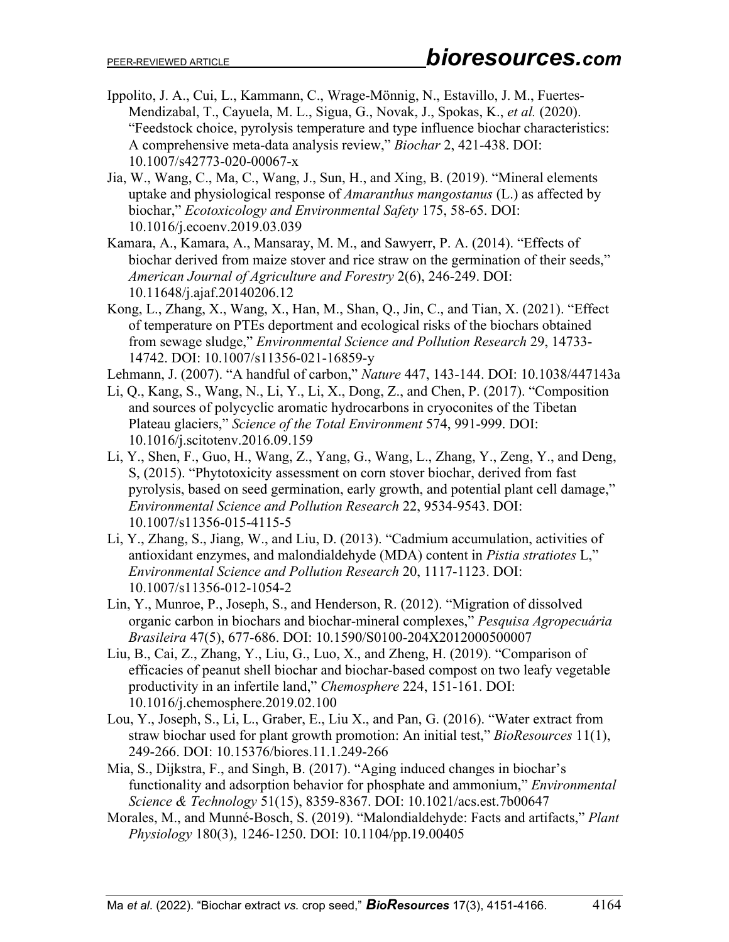- Ippolito, J. A., Cui, L., Kammann, C., Wrage-Mönnig, N., Estavillo, J. M., Fuertes-Mendizabal, T., Cayuela, M. L., Sigua, G., Novak, J., Spokas, K., *et al.* (2020). "Feedstock choice, pyrolysis temperature and type influence biochar characteristics: A comprehensive meta-data analysis review," *Biochar* 2, 421-438. DOI: 10.1007/s42773-020-00067-x
- Jia, W., Wang, C., Ma, C., Wang, J., Sun, H., and Xing, B. (2019). "Mineral elements uptake and physiological response of *Amaranthus mangostanus* (L.) as affected by biochar," *Ecotoxicology and Environmental Safety* 175, 58-65. DOI: 10.1016/j.ecoenv.2019.03.039
- Kamara, A., Kamara, A., Mansaray, M. M., and Sawyerr, P. A. (2014). "Effects of biochar derived from maize stover and rice straw on the germination of their seeds," *American Journal of Agriculture and Forestry* 2(6), 246-249. DOI: 10.11648/j.ajaf.20140206.12
- Kong, L., Zhang, X., Wang, X., Han, M., Shan, Q., Jin, C., and Tian, X. (2021). "Effect of temperature on PTEs deportment and ecological risks of the biochars obtained from sewage sludge," *Environmental Science and Pollution Research* 29, 14733- 14742. DOI: 10.1007/s11356-021-16859-y
- Lehmann, J. (2007). "A handful of carbon," *Nature* 447, 143-144. DOI: 10.1038/447143a
- Li, Q., Kang, S., Wang, N., Li, Y., Li, X., Dong, Z., and Chen, P. (2017). "Composition and sources of polycyclic aromatic hydrocarbons in cryoconites of the Tibetan Plateau glaciers," *Science of the Total Environment* 574, 991-999. DOI: 10.1016/j.scitotenv.2016.09.159
- Li, Y., Shen, F., Guo, H., Wang, Z., Yang, G., Wang, L., Zhang, Y., Zeng, Y., and Deng, S, (2015). "Phytotoxicity assessment on corn stover biochar, derived from fast pyrolysis, based on seed germination, early growth, and potential plant cell damage," *Environmental Science and Pollution Research* 22, 9534-9543. DOI: 10.1007/s11356-015-4115-5
- Li, Y., Zhang, S., Jiang, W., and Liu, D. (2013). "Cadmium accumulation, activities of antioxidant enzymes, and malondialdehyde (MDA) content in *Pistia stratiotes* L," *Environmental Science and Pollution Research* 20, 1117-1123. DOI: 10.1007/s11356-012-1054-2
- Lin, Y., Munroe, P., Joseph, S., and Henderson, R. (2012). "Migration of dissolved organic carbon in biochars and biochar-mineral complexes," *Pesquisa Agropecuária Brasileira* 47(5), 677-686. DOI: 10.1590/S0100-204X2012000500007
- Liu, B., Cai, Z., Zhang, Y., Liu, G., Luo, X., and Zheng, H. (2019). "Comparison of efficacies of peanut shell biochar and biochar-based compost on two leafy vegetable productivity in an infertile land," *Chemosphere* 224, 151-161. DOI: 10.1016/j.chemosphere.2019.02.100
- Lou, Y., Joseph, S., Li, L., Graber, E., Liu X., and Pan, G. (2016). "Water extract from straw biochar used for plant growth promotion: An initial test," *BioResources* 11(1), 249-266. DOI: 10.15376/biores.11.1.249-266
- Mia, S., Dijkstra, F., and Singh, B. (2017). "Aging induced changes in biochar's functionality and adsorption behavior for phosphate and ammonium," *Environmental Science & Technology* 51(15), 8359-8367. DOI: 10.1021/acs.est.7b00647
- Morales, M., and Munné-Bosch, S. (2019). "Malondialdehyde: Facts and artifacts," *Plant Physiology* 180(3), 1246-1250. DOI: 10.1104/pp.19.00405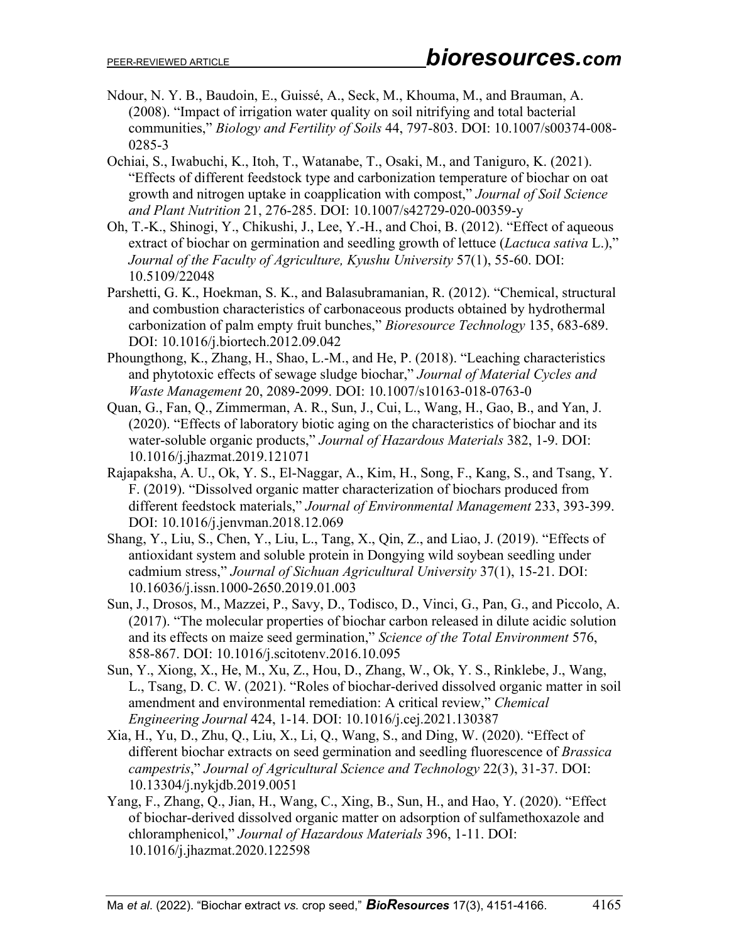- Ndour, N. Y. B., Baudoin, E., Guissé, A., Seck, M., Khouma, M., and Brauman, A. (2008). "Impact of irrigation water quality on soil nitrifying and total bacterial communities," *Biology and Fertility of Soils* 44, 797-803. DOI: 10.1007/s00374-008- 0285-3
- Ochiai, S., Iwabuchi, K., Itoh, T., Watanabe, T., Osaki, M., and Taniguro, K. (2021). "Effects of different feedstock type and carbonization temperature of biochar on oat growth and nitrogen uptake in coapplication with compost," *Journal of Soil Science and Plant Nutrition* 21, 276-285. DOI: 10.1007/s42729-020-00359-y
- Oh, T.-K., Shinogi, Y., Chikushi, J., Lee, Y.-H., and Choi, B. (2012). "Effect of aqueous extract of biochar on germination and seedling growth of lettuce (*Lactuca sativa* L.)," *Journal of the Faculty of Agriculture, Kyushu University* 57(1), 55-60. DOI: 10.5109/22048
- Parshetti, G. K., Hoekman, S. K., and Balasubramanian, R. (2012). "Chemical, structural and combustion characteristics of carbonaceous products obtained by hydrothermal carbonization of palm empty fruit bunches," *Bioresource Technology* 135, 683-689. DOI: 10.1016/j.biortech.2012.09.042
- Phoungthong, K., Zhang, H., Shao, L.-M., and He, P. (2018). "Leaching characteristics and phytotoxic effects of sewage sludge biochar," *Journal of Material Cycles and Waste Management* 20, 2089-2099. DOI: 10.1007/s10163-018-0763-0
- Quan, G., Fan, Q., Zimmerman, A. R., Sun, J., Cui, L., Wang, H., Gao, B., and Yan, J. (2020). "Effects of laboratory biotic aging on the characteristics of biochar and its water-soluble organic products," *Journal of Hazardous Materials* 382, 1-9. DOI: 10.1016/j.jhazmat.2019.121071
- Rajapaksha, A. U., Ok, Y. S., El-Naggar, A., Kim, H., Song, F., Kang, S., and Tsang, Y. F. (2019). "Dissolved organic matter characterization of biochars produced from different feedstock materials," *Journal of Environmental Management* 233, 393-399. DOI: 10.1016/j.jenvman.2018.12.069
- Shang, Y., Liu, S., Chen, Y., Liu, L., Tang, X., Qin, Z., and Liao, J. (2019). "Effects of antioxidant system and soluble protein in Dongying wild soybean seedling under cadmium stress," *Journal of Sichuan Agricultural University* 37(1), 15-21. DOI: 10.16036/j.issn.1000-2650.2019.01.003
- Sun, J., Drosos, M., Mazzei, P., Savy, D., Todisco, D., Vinci, G., Pan, G., and Piccolo, A. (2017). "The molecular properties of biochar carbon released in dilute acidic solution and its effects on maize seed germination," *Science of the Total Environment* 576, 858-867. DOI: 10.1016/j.scitotenv.2016.10.095
- Sun, Y., Xiong, X., He, M., Xu, Z., Hou, D., Zhang, W., Ok, Y. S., Rinklebe, J., Wang, L., Tsang, D. C. W. (2021). "Roles of biochar-derived dissolved organic matter in soil amendment and environmental remediation: A critical review," *Chemical Engineering Journal* 424, 1-14. DOI: 10.1016/j.cej.2021.130387
- Xia, H., Yu, D., Zhu, Q., Liu, X., Li, Q., Wang, S., and Ding, W. (2020). "Effect of different biochar extracts on seed germination and seedling fluorescence of *Brassica campestris*," *Journal of Agricultural Science and Technology* 22(3), 31-37. DOI: 10.13304/j.nykjdb.2019.0051
- Yang, F., Zhang, Q., Jian, H., Wang, C., Xing, B., Sun, H., and Hao, Y. (2020). "Effect of biochar-derived dissolved organic matter on adsorption of sulfamethoxazole and chloramphenicol," *Journal of Hazardous Materials* 396, 1-11. DOI: 10.1016/j.jhazmat.2020.122598